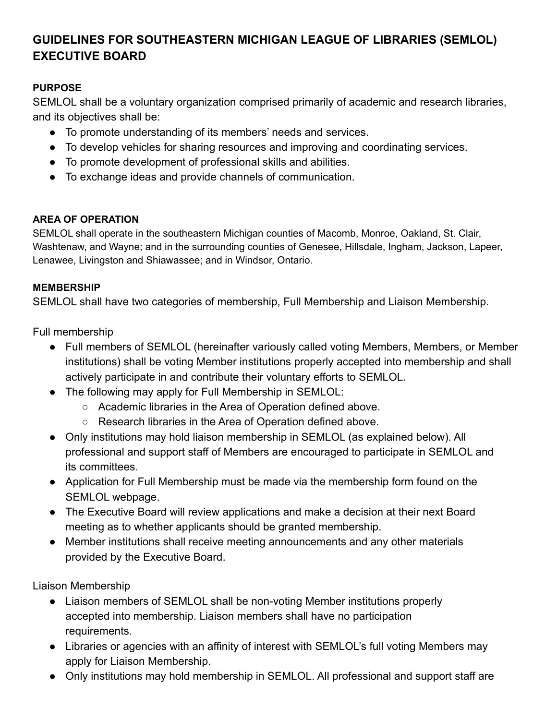# **GUIDELINES FOR SOUTHEASTERN MICHIGAN LEAGUE OF LIBRARIES (SEMLOL) EXECUTIVE BOARD**

### **PURPOSE**

SEMLOL shall be a voluntary organization comprised primarily of academic and research libraries, and its objectives shall be:

- To promote understanding of its members' needs and services.
- To develop vehicles for sharing resources and improving and coordinating services.
- To promote development of professional skills and abilities.
- To exchange ideas and provide channels of communication.

#### **AREA OF OPERATION**

SEMLOL shall operate in the southeastern Michigan counties of Macomb, Monroe, Oakland, St. Clair, Washtenaw, and Wayne; and in the surrounding counties of Genesee, Hillsdale, Ingham, Jackson, Lapeer, Lenawee, Livingston and Shiawassee; and in Windsor, Ontario.

#### **MEMBERSHIP**

SEMLOL shall have two categories of membership, Full Membership and Liaison Membership.

Full membership

- Full members of SEMLOL (hereinafter variously called voting Members, Members, or Member institutions) shall be voting Member institutions properly accepted into membership and shall actively participate in and contribute their voluntary efforts to SEMLOL.
- The following may apply for Full Membership in SEMLOL:
	- Academic libraries in the Area of Operation defined above.
	- Research libraries in the Area of Operation defined above.
- Only institutions may hold liaison membership in SEMLOL (as explained below). All professional and support staff of Members are encouraged to participate in SEMLOL and its committees.
- Application for Full Membership must be made via the membership form found on the SEMLOL webpage.
- The Executive Board will review applications and make a decision at their next Board meeting as to whether applicants should be granted membership.
- Member institutions shall receive meeting announcements and any other materials provided by the Executive Board.

Liaison Membership

- Liaison members of SEMLOL shall be non-voting Member institutions properly accepted into membership. Liaison members shall have no participation requirements.
- Libraries or agencies with an affinity of interest with SEMLOL's full voting Members may apply for Liaison Membership.
- Only institutions may hold membership in SEMLOL. All professional and support staff are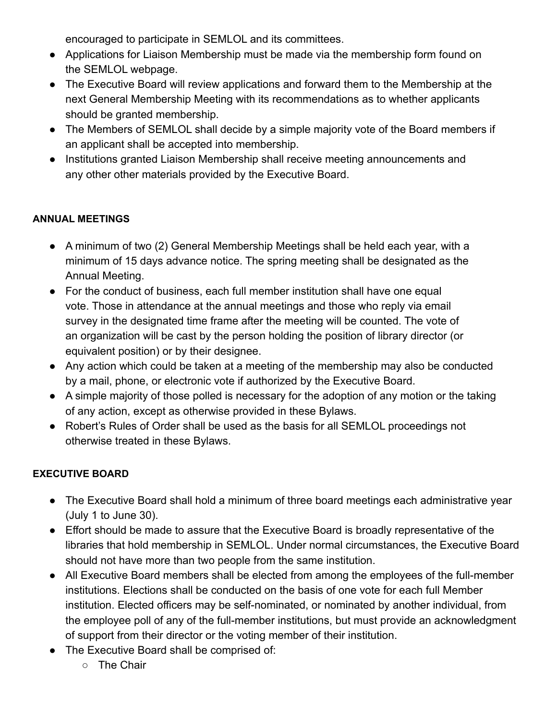encouraged to participate in SEMLOL and its committees.

- Applications for Liaison Membership must be made via the membership form found on the SEMLOL webpage.
- The Executive Board will review applications and forward them to the Membership at the next General Membership Meeting with its recommendations as to whether applicants should be granted membership.
- The Members of SEMLOL shall decide by a simple majority vote of the Board members if an applicant shall be accepted into membership.
- Institutions granted Liaison Membership shall receive meeting announcements and any other other materials provided by the Executive Board.

## **ANNUAL MEETINGS**

- A minimum of two (2) General Membership Meetings shall be held each year, with a minimum of 15 days advance notice. The spring meeting shall be designated as the Annual Meeting.
- For the conduct of business, each full member institution shall have one equal vote. Those in attendance at the annual meetings and those who reply via email survey in the designated time frame after the meeting will be counted. The vote of an organization will be cast by the person holding the position of library director (or equivalent position) or by their designee.
- Any action which could be taken at a meeting of the membership may also be conducted by a mail, phone, or electronic vote if authorized by the Executive Board.
- A simple majority of those polled is necessary for the adoption of any motion or the taking of any action, except as otherwise provided in these Bylaws.
- Robert's Rules of Order shall be used as the basis for all SEMLOL proceedings not otherwise treated in these Bylaws.

#### **EXECUTIVE BOARD**

- The Executive Board shall hold a minimum of three board meetings each administrative year (July 1 to June 30).
- Effort should be made to assure that the Executive Board is broadly representative of the libraries that hold membership in SEMLOL. Under normal circumstances, the Executive Board should not have more than two people from the same institution.
- All Executive Board members shall be elected from among the employees of the full-member institutions. Elections shall be conducted on the basis of one vote for each full Member institution. Elected officers may be self-nominated, or nominated by another individual, from the employee poll of any of the full-member institutions, but must provide an acknowledgment of support from their director or the voting member of their institution.
- The Executive Board shall be comprised of:
	- The Chair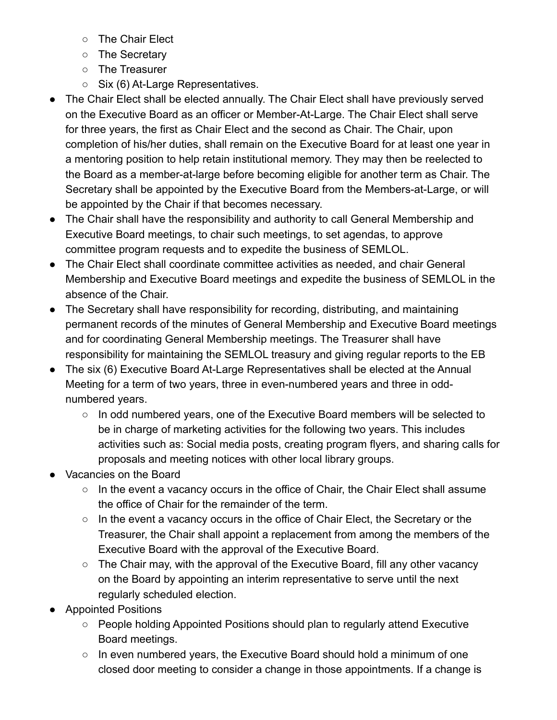- The Chair Elect
- The Secretary
- The Treasurer
- Six (6) At-Large Representatives.
- The Chair Elect shall be elected annually. The Chair Elect shall have previously served on the Executive Board as an officer or Member-At-Large. The Chair Elect shall serve for three years, the first as Chair Elect and the second as Chair. The Chair, upon completion of his/her duties, shall remain on the Executive Board for at least one year in a mentoring position to help retain institutional memory. They may then be reelected to the Board as a member-at-large before becoming eligible for another term as Chair. The Secretary shall be appointed by the Executive Board from the Members-at-Large, or will be appointed by the Chair if that becomes necessary.
- The Chair shall have the responsibility and authority to call General Membership and Executive Board meetings, to chair such meetings, to set agendas, to approve committee program requests and to expedite the business of SEMLOL.
- The Chair Elect shall coordinate committee activities as needed, and chair General Membership and Executive Board meetings and expedite the business of SEMLOL in the absence of the Chair.
- The Secretary shall have responsibility for recording, distributing, and maintaining permanent records of the minutes of General Membership and Executive Board meetings and for coordinating General Membership meetings. The Treasurer shall have responsibility for maintaining the SEMLOL treasury and giving regular reports to the EB
- The six (6) Executive Board At-Large Representatives shall be elected at the Annual Meeting for a term of two years, three in even-numbered years and three in oddnumbered years.
	- In odd numbered years, one of the Executive Board members will be selected to be in charge of marketing activities for the following two years. This includes activities such as: Social media posts, creating program flyers, and sharing calls for proposals and meeting notices with other local library groups.
- Vacancies on the Board
	- In the event a vacancy occurs in the office of Chair, the Chair Elect shall assume the office of Chair for the remainder of the term.
	- In the event a vacancy occurs in the office of Chair Elect, the Secretary or the Treasurer, the Chair shall appoint a replacement from among the members of the Executive Board with the approval of the Executive Board.
	- The Chair may, with the approval of the Executive Board, fill any other vacancy on the Board by appointing an interim representative to serve until the next regularly scheduled election.
- Appointed Positions
	- People holding Appointed Positions should plan to regularly attend Executive Board meetings.
	- In even numbered years, the Executive Board should hold a minimum of one closed door meeting to consider a change in those appointments. If a change is